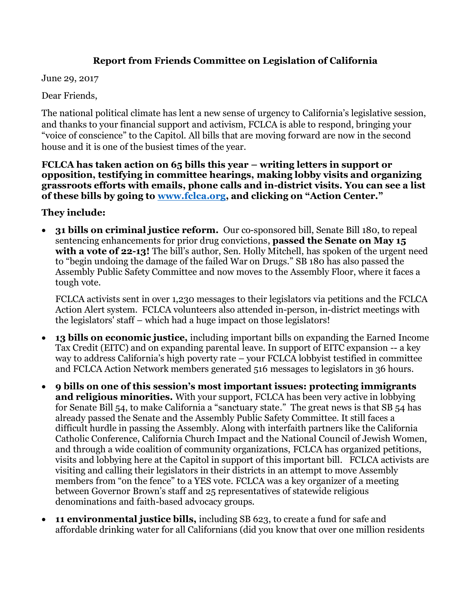## **Report from Friends Committee on Legislation of California**

June 29, 2017

Dear Friends,

The national political climate has lent a new sense of urgency to California's legislative session, and thanks to your financial support and activism, FCLCA is able to respond, bringing your "voice of conscience" to the Capitol. All bills that are moving forward are now in the second house and it is one of the busiest times of the year.

**FCLCA has taken action on 65 bills this year – writing letters in support or opposition, testifying in committee hearings, making lobby visits and organizing grassroots efforts with emails, phone calls and in-district visits. You can see a list of these bills by going to [www.fclca.org,](http://www.fclca.org/) and clicking on "Action Center."**

**They include:**

• **31 bills on criminal justice reform.** Our co-sponsored bill, Senate Bill 180, to repeal sentencing enhancements for prior drug convictions, **passed the Senate on May 15**  with a vote of 22-13! The bill's author, Sen. Holly Mitchell, has spoken of the urgent need to "begin undoing the damage of the failed War on Drugs." SB 180 has also passed the Assembly Public Safety Committee and now moves to the Assembly Floor, where it faces a tough vote.

FCLCA activists sent in over 1,230 messages to their legislators via petitions and the FCLCA Action Alert system. FCLCA volunteers also attended in-person, in-district meetings with the legislators' staff – which had a huge impact on those legislators!

- **13 bills on economic justice,** including important bills on expanding the Earned Income Tax Credit (EITC) and on expanding parental leave. In support of EITC expansion -- a key way to address California's high poverty rate – your FCLCA lobbyist testified in committee and FCLCA Action Network members generated 516 messages to legislators in 36 hours.
- **9 bills on one of this session's most important issues: protecting immigrants and religious minorities.** With your support, FCLCA has been very active in lobbying for Senate Bill 54, to make California a "sanctuary state." The great news is that SB 54 has already passed the Senate and the Assembly Public Safety Committee. It still faces a difficult hurdle in passing the Assembly. Along with interfaith partners like the California Catholic Conference, California Church Impact and the National Council of Jewish Women, and through a wide coalition of community organizations, FCLCA has organized petitions, visits and lobbying here at the Capitol in support of this important bill. FCLCA activists are visiting and calling their legislators in their districts in an attempt to move Assembly members from "on the fence" to a YES vote. FCLCA was a key organizer of a meeting between Governor Brown's staff and 25 representatives of statewide religious denominations and faith-based advocacy groups.
- **11 environmental justice bills,** including SB 623, to create a fund for safe and affordable drinking water for all Californians (did you know that over one million residents